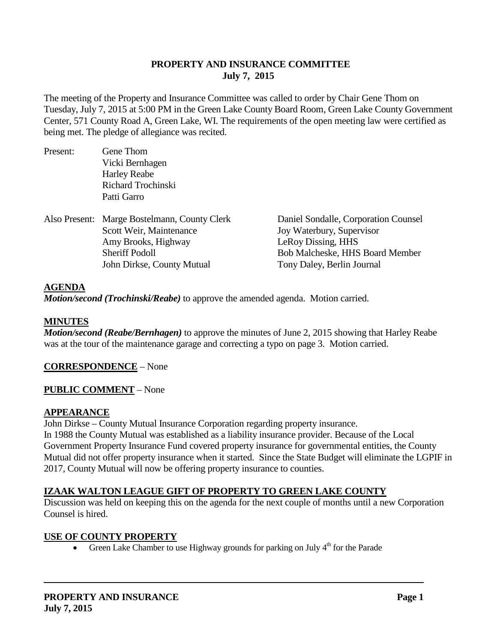## **PROPERTY AND INSURANCE COMMITTEE July 7, 2015**

The meeting of the Property and Insurance Committee was called to order by Chair Gene Thom on Tuesday, July 7, 2015 at 5:00 PM in the Green Lake County Board Room, Green Lake County Government Center, 571 County Road A, Green Lake, WI. The requirements of the open meeting law were certified as being met. The pledge of allegiance was recited.

| Present: | Gene Thom                                    |                                        |
|----------|----------------------------------------------|----------------------------------------|
|          | Vicki Bernhagen                              |                                        |
|          | <b>Harley Reabe</b>                          |                                        |
|          | Richard Trochinski                           |                                        |
|          | Patti Garro                                  |                                        |
|          | Also Present: Marge Bostelmann, County Clerk | Daniel Sondalle, Corporation Counsel   |
|          | Scott Weir, Maintenance                      | Joy Waterbury, Supervisor              |
|          | Amy Brooks, Highway                          | LeRoy Dissing, HHS                     |
|          | <b>Sheriff Podoll</b>                        | <b>Bob Malcheske, HHS Board Member</b> |
|          | John Dirkse, County Mutual                   | Tony Daley, Berlin Journal             |
|          |                                              |                                        |

#### **AGENDA**

*Motion/second (Trochinski/Reabe)* to approve the amended agenda. Motion carried.

## **MINUTES**

*Motion/second (Reabe/Bernhagen)* to approve the minutes of June 2, 2015 showing that Harley Reabe was at the tour of the maintenance garage and correcting a typo on page 3. Motion carried.

## **CORRESPONDENCE** – None

#### **PUBLIC COMMENT** – None

#### **APPEARANCE**

John Dirkse – County Mutual Insurance Corporation regarding property insurance.

In 1988 the County Mutual was established as a liability insurance provider. Because of the Local Government Property Insurance Fund covered property insurance for governmental entities, the County Mutual did not offer property insurance when it started. Since the State Budget will eliminate the LGPIF in 2017, County Mutual will now be offering property insurance to counties.

## **IZAAK WALTON LEAGUE GIFT OF PROPERTY TO GREEN LAKE COUNTY**

Discussion was held on keeping this on the agenda for the next couple of months until a new Corporation Counsel is hired.

#### **USE OF COUNTY PROPERTY**

• Green Lake Chamber to use Highway grounds for parking on July  $4<sup>th</sup>$  for the Parade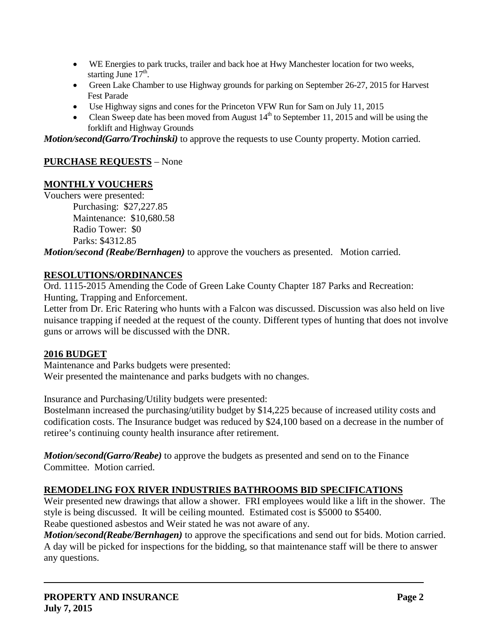- WE Energies to park trucks, trailer and back hoe at Hwy Manchester location for two weeks, starting June  $17<sup>th</sup>$ .
- Green Lake Chamber to use Highway grounds for parking on September 26-27, 2015 for Harvest Fest Parade
- Use Highway signs and cones for the Princeton VFW Run for Sam on July 11, 2015
- Clean Sweep date has been moved from August  $14<sup>th</sup>$  to September 11, 2015 and will be using the forklift and Highway Grounds

*Motion/second(Garro/Trochinski)* to approve the requests to use County property. Motion carried.

# **PURCHASE REQUESTS** – None

## **MONTHLY VOUCHERS**

Vouchers were presented: Purchasing: \$27,227.85

Maintenance: \$10,680.58 Radio Tower: \$0 Parks: \$4312.85

*Motion/second (Reabe/Bernhagen)* to approve the vouchers as presented. Motion carried.

### **RESOLUTIONS/ORDINANCES**

Ord. 1115-2015 Amending the Code of Green Lake County Chapter 187 Parks and Recreation: Hunting, Trapping and Enforcement.

Letter from Dr. Eric Ratering who hunts with a Falcon was discussed. Discussion was also held on live nuisance trapping if needed at the request of the county. Different types of hunting that does not involve guns or arrows will be discussed with the DNR.

#### **2016 BUDGET**

Maintenance and Parks budgets were presented: Weir presented the maintenance and parks budgets with no changes.

Insurance and Purchasing/Utility budgets were presented:

Bostelmann increased the purchasing/utility budget by \$14,225 because of increased utility costs and codification costs. The Insurance budget was reduced by \$24,100 based on a decrease in the number of retiree's continuing county health insurance after retirement.

*Motion/second(Garro/Reabe)* to approve the budgets as presented and send on to the Finance Committee. Motion carried.

## **REMODELING FOX RIVER INDUSTRIES BATHROOMS BID SPECIFICATIONS**

Weir presented new drawings that allow a shower. FRI employees would like a lift in the shower. The style is being discussed. It will be ceiling mounted. Estimated cost is \$5000 to \$5400. Reabe questioned asbestos and Weir stated he was not aware of any.

*Motion/second(Reabe/Bernhagen)* to approve the specifications and send out for bids. Motion carried. A day will be picked for inspections for the bidding, so that maintenance staff will be there to answer any questions.